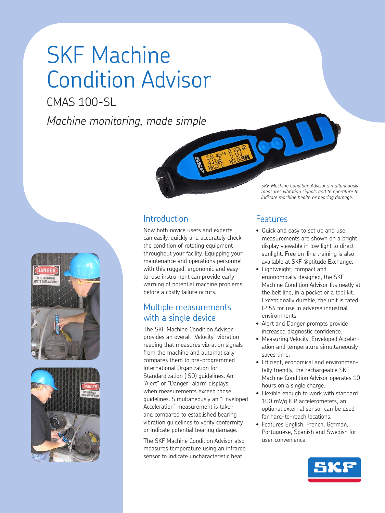# SKF Machine Condition Advisor

CMAS 100-SL

*Machine monitoring, made simple*







Now both novice users and experts can easily, quickly and accurately check the condition of rotating equipment throughout your facility. Equipping your maintenance and operations personnel with this rugged, ergonomic and easyto-use instrument can provide early warning of potential machine problems before a costly failure occurs.

## Multiple measurements with a single device

The SKF Machine Condition Advisor provides an overall "Velocity" vibration reading that measures vibration signals from the machine and automatically compares them to pre-programmed International Organization for Standardization (ISO) guidelines. An "Alert" or "Danger" alarm displays when measurements exceed those guidelines. Simultaneously an "Enveloped Acceleration" measurement is taken and compared to established bearing vibration guidelines to verify conformity or indicate potential bearing damage.

The SKF Machine Condition Advisor also measures temperature using an infrared sensor to indicate uncharacteristic heat.

*SKF Machine Condition Advisor simultaneously measures vibration signals and temperature to indicate machine health or bearing damage.* 

## Features

- Quick and easy to set up and use. measurements are shown on a bright display viewable in low light to direct sunlight. Free on-line training is also available at SKF @ptitude Exchange.
- • Lightweight, compact and ergonomically designed, the SKF Machine Condition Advisor fits neatly at the belt line, in a pocket or a tool kit. Exceptionally durable, the unit is rated IP 54 for use in adverse industrial environments.
- Alert and Danger prompts provide increased diagnostic confidence.
- Measuring Velocity, Enveloped Acceleration and temperature simultaneously saves time.
- Efficient, economical and environmentally friendly, the rechargeable SKF Machine Condition Advisor operates 10 hours on a single charge.
- Flexible enough to work with standard 100 mV/g ICP accelerometers, an optional external sensor can be used for hard-to-reach locations.
- Features English, French, German, Portuguese, Spanish and Swedish for user convenience.

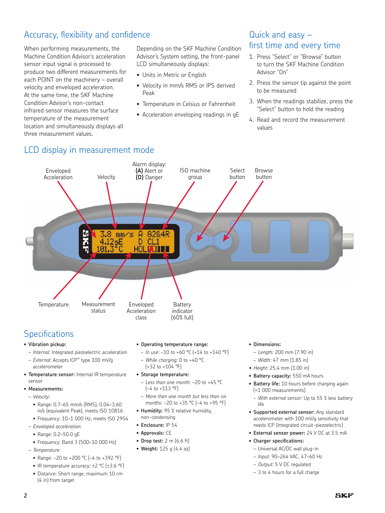## Accuracy, flexibility and confidence

When performing measurements, the Machine Condition Advisor's acceleration sensor input signal is processed to produce two different measurements for each POINT on the machinery – overall velocity and enveloped acceleration. At the same time, the SKF Machine Condition Advisor's non-contact infrared sensor measures the surface temperature of the measurement location and simultaneously displays all three measurement values.

Depending on the SKF Machine Condition Advisor's System setting, the front-panel LCD simultaneously displays:

- Units in Metric or English
- Velocity in mm/s RMS or IPS derived Peak
- Temperature in Celsius or Fahrenheit
- Acceleration enveloping readings in gE

## Quick and easy – first time and every time

- 1. Press "Select" or "Browse" button to turn the SKF Machine Condition Advisor "On"
- 2. Press the sensor tip against the point to be measured
- 3. When the readings stabilize, press the "Select" button to hold the reading
- 4. Read and record the measurement values

## LCD display in measurement mode



## **Specifications**

- **• Vibration pickup:** 
	- *Internal:* Integrated piezoelectric acceleration
- *External:* Accepts ICP™ type 100 mV/g accelerometer
- **• Temperature sensor:** Internal IR temperature sensor
- **• Measurements:**
- *Velocity:*
	- • Range: 0.7–65 mm/s (RMS), 0.04–3.60 in/s (equivalent Peak), meets ISO 10816
	- • Frequency: 10–1 000 Hz, meets ISO 2954
- *Enveloped acceleration:*
- • Range: 0.2–50.0 gE
- Frequency: Band 3 (500-10 000 Hz)
- *Temperature:*
	- Range:  $-20$  to  $+200$  °C ( $-4$  to  $+392$  °F)
	- IR temperature accuracy: ±2 °C (±3.6 °F)
	- Distance: Short range, maximum 10 cm (4 in) from target

#### **• Operating temperature range:**

- *In use:* –10 to +60 °C (+14 to +140 °F)
- *While charging:* 0 to +40 °C
- $(+32 \text{ to } +104 \text{ °F})$

#### **• Storage temperature:**

- *Less than one month:* –20 to +45 °C (–4 to +113 °F)
- *More than one month but less than six months:* –20 to +35 °C (–4 to +95 °F)
- **• Humidity:** 95 % relative humidity, non-condensing
- **• Enclosure:** IP 54
- **• Approvals:** CE
- **• Drop test:** 2 m (6.6 ft)
- **• Weight:** 125 g (4.4 oz)
- **• Dimensions:**
- *Length:* 200 mm (7.90 in)
- *Width:* 47 mm (1.85 in)
- *• Height:* 25.4 mm (1.00 in)
- **• Battery capacity:** 550 mA hours
- **• Battery life:** 10 hours before charging again (≈1 000 measurements)
	- *With external sensor:* Up to 55 % less battery life
- **• Supported external sensor:** Any standard accelerometer with 100 mV/g sensitivity that needs ICP (Integrated circuit-piezoelectric)
- **• External sensor power:** 24 V DC at 3.5 mA
- **• Charger specifications:**
	- Universal AC/DC wall plug-in
	- *Input:* 90–264 VAC, 47–60 Hz
	- *Output:* 5 V DC regulated
	- 3 to 4 hours for a full charge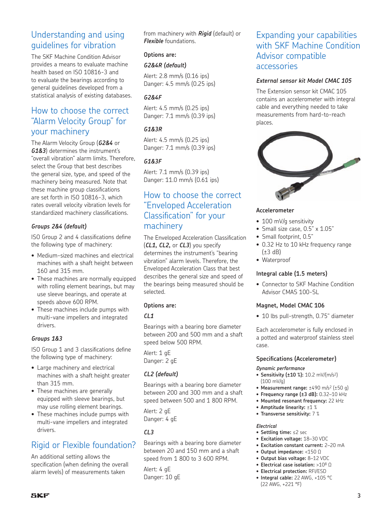## Understanding and using guidelines for vibration

The SKF Machine Condition Advisor provides a means to evaluate machine health based on ISO 10816-3 and to evaluate the bearings according to general guidelines developed from a statistical analysis of existing databases.

## How to choose the correct "Alarm Velocity Group" for your machinery

The Alarm Velocity Group (*G2&4* or *G1&3*) determines the instrument's "overall vibration" alarm limits. Therefore, select the Group that best describes the general size, type, and speed of the machinery being measured. Note that these machine group classifications are set forth in ISO 10816-3, which rates overall velocity vibration levels for standardized machinery classifications.

#### *Groups 2&4 (default)*

ISO Group 2 and 4 classifications define the following type of machinery:

- Medium-sized machines and electrical machines with a shaft height between 160 and 315 mm.
- These machines are normally equipped with rolling element bearings, but may use sleeve bearings, and operate at speeds above 600 RPM.
- These machines include pumps with multi-vane impellers and integrated drivers.

#### *Groups 1&3*

ISO Group 1 and 3 classifications define the following type of machinery:

- Large machinery and electrical machines with a shaft height greater than 315 mm.
- These machines are generally equipped with sleeve bearings, but may use rolling element bearings.
- These machines include pumps with multi-vane impellers and integrated drivers.

## Rigid or Flexible foundation?

An additional setting allows the specification (when defining the overall alarm levels) of measurements taken

from machinery with *Rigid* (default) or *Flexible* foundations.

#### **Options are:**

#### *G2&4R (default)*

Alert: 2.8 mm/s (0.16 ips) Danger: 4.5 mm/s (0.25 ips)

#### *G2&4F*

Alert: 4.5 mm/s (0.25 ips) Danger: 7.1 mm/s (0.39 ips)

#### *G1&3R*

Alert: 4.5 mm/s (0.25 ips) Danger: 7.1 mm/s (0.39 ips)

#### *G1&3F*

Alert: 7.1 mm/s (0.39 ips) Danger: 11.0 mm/s (0.61 ips)

### How to choose the correct "Enveloped Acceleration Classification" for your machinery

The Enveloped Acceleration Classification (*CL1, CL2,* or *CL3*) you specify determines the instrument's "bearing vibration" alarm levels. Therefore, the Enveloped Acceleration Class that best describes the general size and speed of the bearings being measured should be selected.

#### **Options are:**

#### *CL1*

Bearings with a bearing bore diameter between 200 and 500 mm and a shaft speed below 500 RPM.

Alert: 1 gE Danger: 2 gE

#### *CL2 (default)*

Bearings with a bearing bore diameter between 200 and 300 mm and a shaft speed between 500 and 1 800 RPM.

Alert: 2 gE Danger: 4 gE

#### *CL3*

Bearings with a bearing bore diameter between 20 and 150 mm and a shaft speed from 1 800 to 3 600 RPM.

Alert: 4 gE Danger: 10 gE

## Expanding your capabilities with SKF Machine Condition Advisor compatible accessories

#### *External sensor kit Model CMAC 105*

The Extension sensor kit CMAC 105 contains an accelerometer with integral cable and everything needed to take measurements from hard-to-reach places.



#### **Accelerometer**

- 100 mV/g sensitivity
- Small size case, 0.5" x 1.05"
- Small footprint, 0.5"
- 0.32 Hz to 10 kHz frequency range  $(\pm 3$  dB)
- • Waterproof

#### **Integral cable (1.5 meters)**

• Connector to SKF Machine Condition Advisor CMAS 100-SL

#### **Magnet, Model CMAC 106**

• 10 lbs pull-strength, 0.75" diameter

Each accelerometer is fully enclosed in a potted and waterproof stainless steel case.

#### **Specifications (Accelerometer)**

#### *Dynamic performance*

- **• Sensitivity (±10 %):** 10.2 mV/(m/s2) (100 mV/g)
- **• Measurement range:** ±490 m/s2 (±50 g)
- **• Frequency range (±3 dB):** 0.32–10 kHz
- **• Mounted resonant frequency:** 22 kHz
- **• Amptitude linearity:** ±1 %
- **• Transverse sensitivity:** 7 %

#### *Electrical*

- **• Settling time:** ≤2 sec
- **• Excitation voltage:** 18–30 VDC
- **• Excitation constant current:** 2–20 mA
- **• Output impedance:** <150 Ω
- **• Output bias voltage:** 8–12 VDC
- **• Electrical case isolation:** >108 Ω
- **• Electrical protection:** RFI/ESD
- **• Integral cable:** 22 AWG, +105 °C (22 AWG, +221 °F)